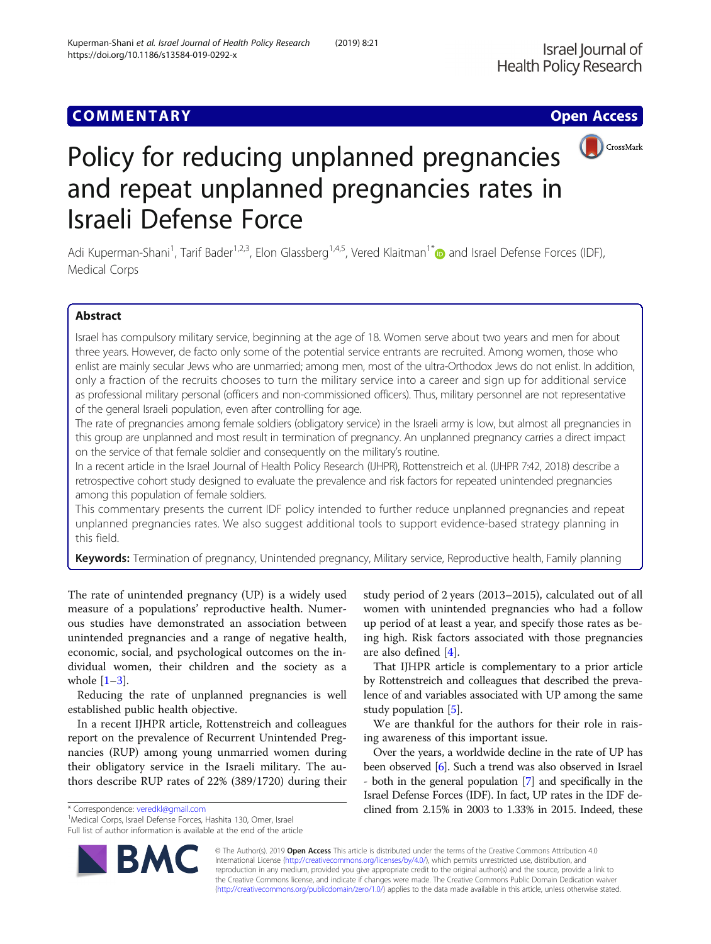# **COMMENTARY COMMENTARY Open Access**



# Policy for reducing unplanned pregnancies and repeat unplanned pregnancies rates in Israeli Defense Force

Adi Kuperman-Shani<sup>1</sup>, Tarif Bader<sup>1,2,3</sup>, Elon Glassberg<sup>1,4,5</sup>, Vered Klaitman<sup>1[\\*](http://orcid.org/0000-0001-8475-4480)</sup> and Israel Defense Forces (IDF), Medical Corps

## Abstract

Israel has compulsory military service, beginning at the age of 18. Women serve about two years and men for about three years. However, de facto only some of the potential service entrants are recruited. Among women, those who enlist are mainly secular Jews who are unmarried; among men, most of the ultra-Orthodox Jews do not enlist. In addition, only a fraction of the recruits chooses to turn the military service into a career and sign up for additional service as professional military personal (officers and non-commissioned officers). Thus, military personnel are not representative of the general Israeli population, even after controlling for age.

The rate of pregnancies among female soldiers (obligatory service) in the Israeli army is low, but almost all pregnancies in this group are unplanned and most result in termination of pregnancy. An unplanned pregnancy carries a direct impact on the service of that female soldier and consequently on the military's routine.

In a recent article in the Israel Journal of Health Policy Research (IJHPR), Rottenstreich et al. (IJHPR 7:42, 2018) describe a retrospective cohort study designed to evaluate the prevalence and risk factors for repeated unintended pregnancies among this population of female soldiers.

This commentary presents the current IDF policy intended to further reduce unplanned pregnancies and repeat unplanned pregnancies rates. We also suggest additional tools to support evidence-based strategy planning in this field.

Keywords: Termination of pregnancy, Unintended pregnancy, Military service, Reproductive health, Family planning

The rate of unintended pregnancy (UP) is a widely used measure of a populations' reproductive health. Numerous studies have demonstrated an association between unintended pregnancies and a range of negative health, economic, social, and psychological outcomes on the individual women, their children and the society as a whole  $[1-3]$  $[1-3]$  $[1-3]$ .

Reducing the rate of unplanned pregnancies is well established public health objective.

In a recent IJHPR article, Rottenstreich and colleagues report on the prevalence of Recurrent Unintended Pregnancies (RUP) among young unmarried women during their obligatory service in the Israeli military. The authors describe RUP rates of 22% (389/1720) during their

<sup>1</sup> Medical Corps, Israel Defense Forces, Hashita 130, Omer, Israel Full list of author information is available at the end of the article

study period of 2 years (2013–2015), calculated out of all women with unintended pregnancies who had a follow up period of at least a year, and specify those rates as being high. Risk factors associated with those pregnancies are also defined [\[4](#page-2-0)].

That IJHPR article is complementary to a prior article by Rottenstreich and colleagues that described the prevalence of and variables associated with UP among the same study population [[5\]](#page-2-0).

We are thankful for the authors for their role in raising awareness of this important issue.

Over the years, a worldwide decline in the rate of UP has been observed [\[6\]](#page-2-0). Such a trend was also observed in Israel - both in the general population [\[7](#page-2-0)] and specifically in the Israel Defense Forces (IDF). In fact, UP rates in the IDF de- \* Correspondence: [veredkl@gmail.com](mailto:veredkl@gmail.com) clined from 2.15% in 2003 to 1.33% in 2015. Indeed, these <sup>1</sup>



© The Author(s). 2019 Open Access This article is distributed under the terms of the Creative Commons Attribution 4.0 International License [\(http://creativecommons.org/licenses/by/4.0/](http://creativecommons.org/licenses/by/4.0/)), which permits unrestricted use, distribution, and reproduction in any medium, provided you give appropriate credit to the original author(s) and the source, provide a link to the Creative Commons license, and indicate if changes were made. The Creative Commons Public Domain Dedication waiver [\(http://creativecommons.org/publicdomain/zero/1.0/](http://creativecommons.org/publicdomain/zero/1.0/)) applies to the data made available in this article, unless otherwise stated.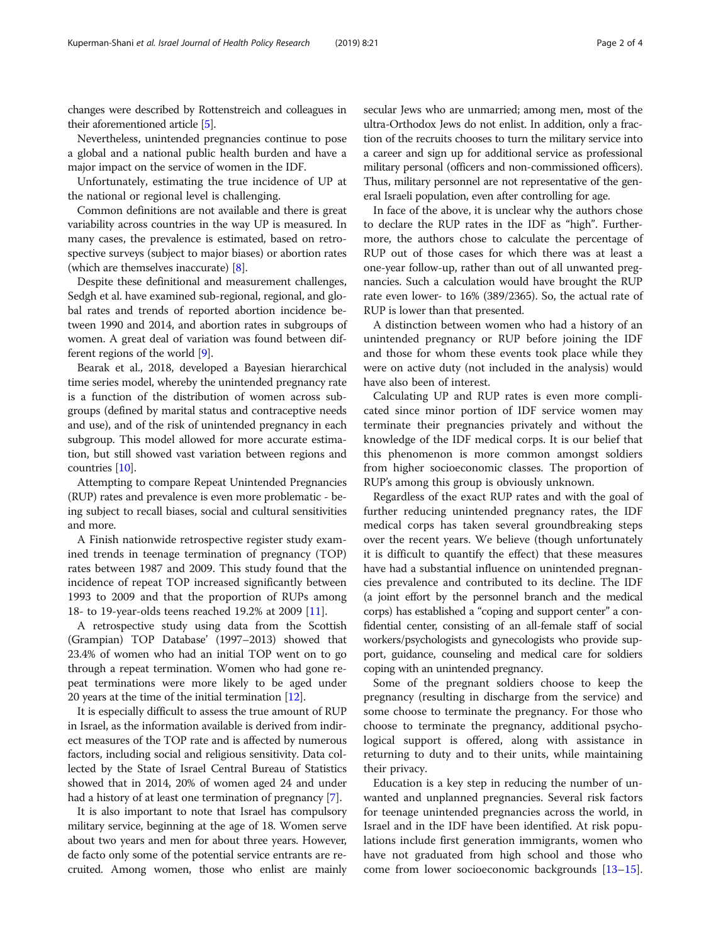changes were described by Rottenstreich and colleagues in their aforementioned article [\[5\]](#page-2-0).

Nevertheless, unintended pregnancies continue to pose a global and a national public health burden and have a major impact on the service of women in the IDF.

Unfortunately, estimating the true incidence of UP at the national or regional level is challenging.

Common definitions are not available and there is great variability across countries in the way UP is measured. In many cases, the prevalence is estimated, based on retrospective surveys (subject to major biases) or abortion rates (which are themselves inaccurate) [[8](#page-2-0)].

Despite these definitional and measurement challenges, Sedgh et al. have examined sub-regional, regional, and global rates and trends of reported abortion incidence between 1990 and 2014, and abortion rates in subgroups of women. A great deal of variation was found between different regions of the world [[9\]](#page-2-0).

Bearak et al., 2018, developed a Bayesian hierarchical time series model, whereby the unintended pregnancy rate is a function of the distribution of women across subgroups (defined by marital status and contraceptive needs and use), and of the risk of unintended pregnancy in each subgroup. This model allowed for more accurate estimation, but still showed vast variation between regions and countries [\[10](#page-2-0)].

Attempting to compare Repeat Unintended Pregnancies (RUP) rates and prevalence is even more problematic - being subject to recall biases, social and cultural sensitivities and more.

A Finish nationwide retrospective register study examined trends in teenage termination of pregnancy (TOP) rates between 1987 and 2009. This study found that the incidence of repeat TOP increased significantly between 1993 to 2009 and that the proportion of RUPs among 18- to 19-year-olds teens reached 19.2% at 2009 [\[11](#page-2-0)].

A retrospective study using data from the Scottish (Grampian) TOP Database' (1997–2013) showed that 23.4% of women who had an initial TOP went on to go through a repeat termination. Women who had gone repeat terminations were more likely to be aged under 20 years at the time of the initial termination [\[12](#page-3-0)].

It is especially difficult to assess the true amount of RUP in Israel, as the information available is derived from indirect measures of the TOP rate and is affected by numerous factors, including social and religious sensitivity. Data collected by the State of Israel Central Bureau of Statistics showed that in 2014, 20% of women aged 24 and under had a history of at least one termination of pregnancy [\[7](#page-2-0)].

It is also important to note that Israel has compulsory military service, beginning at the age of 18. Women serve about two years and men for about three years. However, de facto only some of the potential service entrants are recruited. Among women, those who enlist are mainly secular Jews who are unmarried; among men, most of the ultra-Orthodox Jews do not enlist. In addition, only a fraction of the recruits chooses to turn the military service into a career and sign up for additional service as professional military personal (officers and non-commissioned officers). Thus, military personnel are not representative of the general Israeli population, even after controlling for age.

In face of the above, it is unclear why the authors chose to declare the RUP rates in the IDF as "high". Furthermore, the authors chose to calculate the percentage of RUP out of those cases for which there was at least a one-year follow-up, rather than out of all unwanted pregnancies. Such a calculation would have brought the RUP rate even lower- to 16% (389/2365). So, the actual rate of RUP is lower than that presented.

A distinction between women who had a history of an unintended pregnancy or RUP before joining the IDF and those for whom these events took place while they were on active duty (not included in the analysis) would have also been of interest.

Calculating UP and RUP rates is even more complicated since minor portion of IDF service women may terminate their pregnancies privately and without the knowledge of the IDF medical corps. It is our belief that this phenomenon is more common amongst soldiers from higher socioeconomic classes. The proportion of RUP's among this group is obviously unknown.

Regardless of the exact RUP rates and with the goal of further reducing unintended pregnancy rates, the IDF medical corps has taken several groundbreaking steps over the recent years. We believe (though unfortunately it is difficult to quantify the effect) that these measures have had a substantial influence on unintended pregnancies prevalence and contributed to its decline. The IDF (a joint effort by the personnel branch and the medical corps) has established a "coping and support center" a confidential center, consisting of an all-female staff of social workers/psychologists and gynecologists who provide support, guidance, counseling and medical care for soldiers coping with an unintended pregnancy.

Some of the pregnant soldiers choose to keep the pregnancy (resulting in discharge from the service) and some choose to terminate the pregnancy. For those who choose to terminate the pregnancy, additional psychological support is offered, along with assistance in returning to duty and to their units, while maintaining their privacy.

Education is a key step in reducing the number of unwanted and unplanned pregnancies. Several risk factors for teenage unintended pregnancies across the world, in Israel and in the IDF have been identified. At risk populations include first generation immigrants, women who have not graduated from high school and those who come from lower socioeconomic backgrounds [[13](#page-3-0)–[15](#page-3-0)].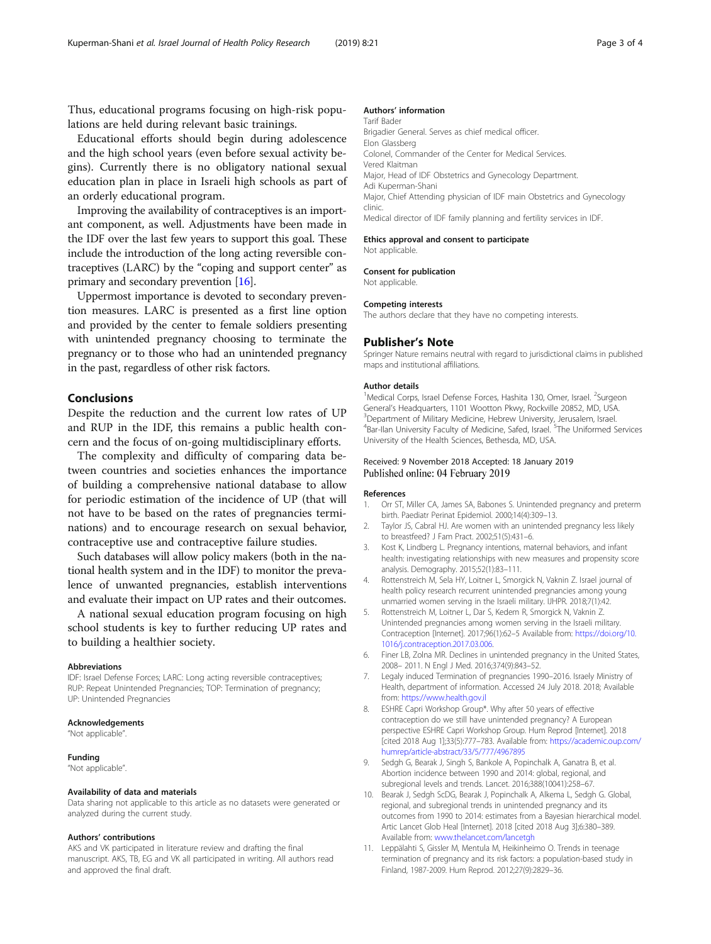<span id="page-2-0"></span>Thus, educational programs focusing on high-risk populations are held during relevant basic trainings.

Educational efforts should begin during adolescence and the high school years (even before sexual activity begins). Currently there is no obligatory national sexual education plan in place in Israeli high schools as part of an orderly educational program.

Improving the availability of contraceptives is an important component, as well. Adjustments have been made in the IDF over the last few years to support this goal. These include the introduction of the long acting reversible contraceptives (LARC) by the "coping and support center" as primary and secondary prevention [[16](#page-3-0)].

Uppermost importance is devoted to secondary prevention measures. LARC is presented as a first line option and provided by the center to female soldiers presenting with unintended pregnancy choosing to terminate the pregnancy or to those who had an unintended pregnancy in the past, regardless of other risk factors.

#### Conclusions

Despite the reduction and the current low rates of UP and RUP in the IDF, this remains a public health concern and the focus of on-going multidisciplinary efforts.

The complexity and difficulty of comparing data between countries and societies enhances the importance of building a comprehensive national database to allow for periodic estimation of the incidence of UP (that will not have to be based on the rates of pregnancies terminations) and to encourage research on sexual behavior, contraceptive use and contraceptive failure studies.

Such databases will allow policy makers (both in the national health system and in the IDF) to monitor the prevalence of unwanted pregnancies, establish interventions and evaluate their impact on UP rates and their outcomes.

A national sexual education program focusing on high school students is key to further reducing UP rates and to building a healthier society.

#### Abbreviations

IDF: Israel Defense Forces; LARC: Long acting reversible contraceptives; RUP: Repeat Unintended Pregnancies; TOP: Termination of pregnancy; UP: Unintended Pregnancies

#### Acknowledgements

"Not applicable".

#### Funding

"Not applicable".

#### Availability of data and materials

Data sharing not applicable to this article as no datasets were generated or analyzed during the current study.

#### Authors' contributions

AKS and VK participated in literature review and drafting the final manuscript. AKS, TB, EG and VK all participated in writing. All authors read and approved the final draft.

### Authors' information

Tarif Bader Brigadier General. Serves as chief medical officer. Elon Glassberg Colonel, Commander of the Center for Medical Services. Vered Klaitman Major, Head of IDF Obstetrics and Gynecology Department. Adi Kuperman-Shani Major, Chief Attending physician of IDF main Obstetrics and Gynecology clinic. Medical director of IDF family planning and fertility services in IDF.

#### Ethics approval and consent to participate Not applicable.

#### Consent for publication

Not applicable.

#### Competing interests

The authors declare that they have no competing interests.

#### Publisher's Note

Springer Nature remains neutral with regard to jurisdictional claims in published maps and institutional affiliations.

#### Author details

<sup>1</sup>Medical Corps, Israel Defense Forces, Hashita 130, Omer, Israel. <sup>2</sup>Surgeon General's Headquarters, 1101 Wootton Pkwy, Rockville 20852, MD, USA. <sup>3</sup> <sup>3</sup> Department of Military Medicine, Hebrew University, Jerusalem, Israel. <sup>4</sup>Bar-Ilan University Faculty of Medicine, Safed, Israel. <sup>5</sup>The Uniformed Services University of the Health Sciences, Bethesda, MD, USA.

### Received: 9 November 2018 Accepted: 18 January 2019 Published online: 04 February 2019

#### References

- 1. Orr ST, Miller CA, James SA, Babones S. Unintended pregnancy and preterm birth. Paediatr Perinat Epidemiol. 2000;14(4):309–13.
- 2. Taylor JS, Cabral HJ. Are women with an unintended pregnancy less likely to breastfeed? J Fam Pract. 2002;51(5):431–6.
- Kost K, Lindberg L. Pregnancy intentions, maternal behaviors, and infant health: investigating relationships with new measures and propensity score analysis. Demography. 2015;52(1):83–111.
- 4. Rottenstreich M, Sela HY, Loitner L, Smorgick N, Vaknin Z. Israel journal of health policy research recurrent unintended pregnancies among young unmarried women serving in the Israeli military. IJHPR. 2018;7(1):42.
- 5. Rottenstreich M, Loitner L, Dar S, Kedem R, Smorgick N, Vaknin Z. Unintended pregnancies among women serving in the Israeli military. Contraception [Internet]. 2017;96(1):62–5 Available from: [https://doi.org/10.](https://doi.org/10.1016/j.contraception.2017.03.006) [1016/j.contraception.2017.03.006](https://doi.org/10.1016/j.contraception.2017.03.006).
- 6. Finer LB, Zolna MR. Declines in unintended pregnancy in the United States, 2008– 2011. N Engl J Med. 2016;374(9):843–52.
- 7. Legaly induced Termination of pregnancies 1990–2016. Israely Ministry of Health, department of information. Accessed 24 July 2018. 2018; Available from: <https://www.health.gov.il>
- 8. ESHRE Capri Workshop Group\*. Why after 50 years of effective contraception do we still have unintended pregnancy? A European perspective ESHRE Capri Workshop Group. Hum Reprod [Internet]. 2018 [cited 2018 Aug 1];33(5):777–783. Available from: [https://academic.oup.com/](https://academic.oup.com/humrep/article-abstract/33/5/777/4967895) [humrep/article-abstract/33/5/777/4967895](https://academic.oup.com/humrep/article-abstract/33/5/777/4967895)
- 9. Sedgh G, Bearak J, Singh S, Bankole A, Popinchalk A, Ganatra B, et al. Abortion incidence between 1990 and 2014: global, regional, and subregional levels and trends. Lancet. 2016;388(10041):258–67.
- 10. Bearak J, Sedgh ScDG, Bearak J, Popinchalk A, Alkema L, Sedgh G. Global, regional, and subregional trends in unintended pregnancy and its outcomes from 1990 to 2014: estimates from a Bayesian hierarchical model. Artic Lancet Glob Heal [Internet]. 2018 [cited 2018 Aug 3];6:380–389. Available from: [www.thelancet.com/lancetgh](http://www.thelancet.com/lancetgh)
- 11. Leppälahti S, Gissler M, Mentula M, Heikinheimo O. Trends in teenage termination of pregnancy and its risk factors: a population-based study in Finland, 1987-2009. Hum Reprod. 2012;27(9):2829–36.